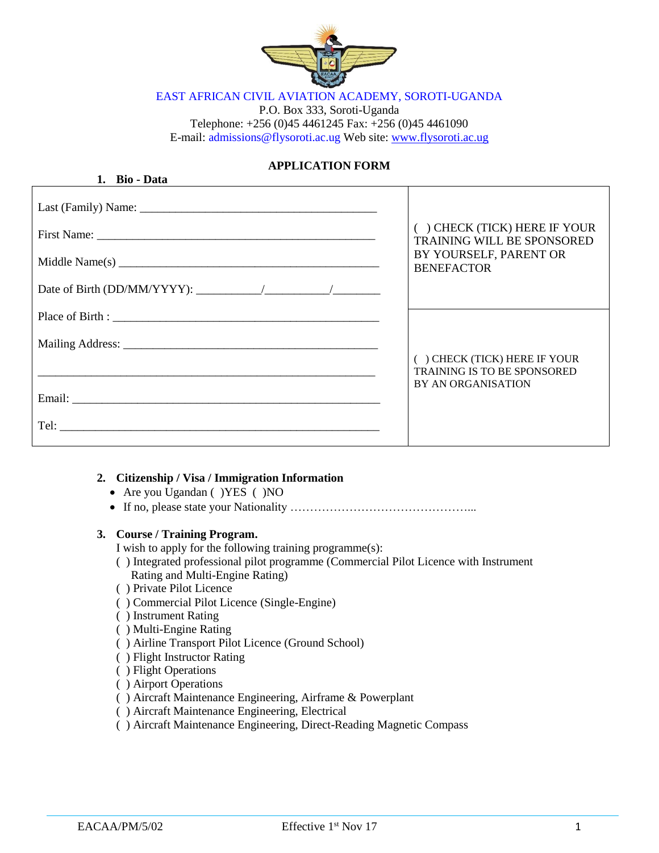

EAST AFRICAN CIVIL AVIATION ACADEMY, SOROTI-UGANDA

P.O. Box 333, Soroti-Uganda Telephone: +256 (0)45 4461245 Fax: +256 (0)45 4461090 E-mail: admissions@flysoroti.ac.ug Web site: [www.flysoroti.ac.ug](http://www.flysoroti.ac.ug/)

# **APPLICATION FORM**

| 1. Bio - Data                             |                                                                                                 |
|-------------------------------------------|-------------------------------------------------------------------------------------------------|
|                                           |                                                                                                 |
|                                           | () CHECK (TICK) HERE IF YOUR<br><b>TRAINING WILL BE SPONSORED</b>                               |
|                                           | BY YOURSELF, PARENT OR<br><b>BENEFACTOR</b>                                                     |
| Date of Birth (DD/MM/YYYY): $\frac{1}{2}$ |                                                                                                 |
|                                           |                                                                                                 |
|                                           |                                                                                                 |
|                                           | () CHECK (TICK) HERE IF YOUR<br><b>TRAINING IS TO BE SPONSORED</b><br><b>BY AN ORGANISATION</b> |
|                                           |                                                                                                 |
|                                           |                                                                                                 |
|                                           |                                                                                                 |

## **2. Citizenship / Visa / Immigration Information**

- Are you Ugandan ( ) YES ( ) NO
- If no, please state your Nationality ………………………………………...

#### **3. Course / Training Program.**

I wish to apply for the following training programme(s):

- ( ) Integrated professional pilot programme (Commercial Pilot Licence with Instrument Rating and Multi-Engine Rating)
- ( ) Private Pilot Licence
- ( ) Commercial Pilot Licence (Single-Engine)
- ( ) Instrument Rating
- ( ) Multi-Engine Rating
- ( ) Airline Transport Pilot Licence (Ground School)
- ( ) Flight Instructor Rating
- ( ) Flight Operations
- ( ) Airport Operations
- ( ) Aircraft Maintenance Engineering, Airframe & Powerplant
- ( ) Aircraft Maintenance Engineering, Electrical
- ( ) Aircraft Maintenance Engineering, Direct-Reading Magnetic Compass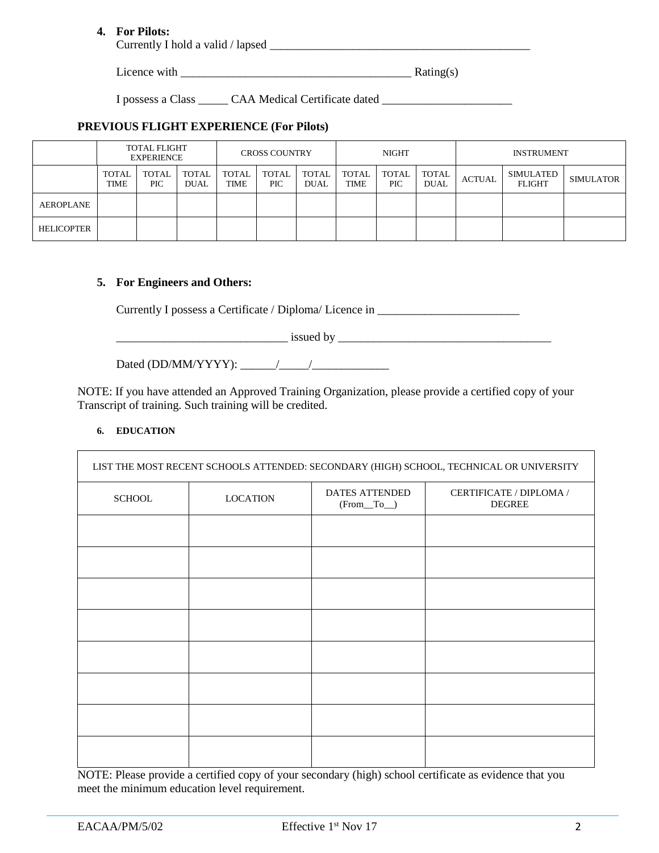## **4. For Pilots:**

Currently I hold a valid / lapsed \_\_\_\_\_\_\_\_\_\_\_\_\_\_\_\_\_\_\_\_\_\_\_\_\_\_\_\_\_\_\_\_\_\_\_\_\_\_\_\_\_\_\_\_

Licence with  $\frac{Rating(s)}{s}$ 

I possess a Class \_\_\_\_\_\_ CAA Medical Certificate dated \_\_\_\_\_\_\_\_\_\_\_\_\_\_\_\_\_\_\_\_\_\_\_\_\_

## **PREVIOUS FLIGHT EXPERIENCE (For Pilots)**

|                   |                      | <b>TOTAL FLIGHT</b><br><b>EXPERIENCE</b> |                      |               | <b>CROSS COUNTRY</b> |                      |                             | NIGHT         |               | <b>INSTRUMENT</b> |                            |                  |  |  |  |  |
|-------------------|----------------------|------------------------------------------|----------------------|---------------|----------------------|----------------------|-----------------------------|---------------|---------------|-------------------|----------------------------|------------------|--|--|--|--|
|                   | <b>TOTAL</b><br>TIME | TOTAL<br>PIC                             | TOTAL<br><b>DUAL</b> | TOTAL<br>TIME | TOTAL<br><b>PIC</b>  | <b>TOTAL</b><br>DUAL | <b>TOTAL</b><br><b>TIME</b> | TOTAL<br>PIC. | TOTAL<br>DUAL | <b>ACTUAL</b>     | SIMULATED<br><b>FLIGHT</b> | <b>SIMULATOR</b> |  |  |  |  |
| AEROPLANE         |                      |                                          |                      |               |                      |                      |                             |               |               |                   |                            |                  |  |  |  |  |
| <b>HELICOPTER</b> |                      |                                          |                      |               |                      |                      |                             |               |               |                   |                            |                  |  |  |  |  |

#### **5. For Engineers and Others:**

Currently I possess a Certificate / Diploma/ Licence in \_\_\_\_\_\_\_\_\_\_\_\_\_\_\_\_\_\_\_\_\_\_\_\_

 $\sim$  issued by  $\sim$ 

Dated (DD/MM/YYYY): \_\_\_\_\_\_/\_\_\_\_\_/\_\_\_\_\_\_\_\_\_\_\_\_\_

NOTE: If you have attended an Approved Training Organization, please provide a certified copy of your Transcript of training. Such training will be credited.

#### **6. EDUCATION**

| LIST THE MOST RECENT SCHOOLS ATTENDED: SECONDARY (HIGH) SCHOOL, TECHNICAL OR UNIVERSITY |                 |                                  |                                          |  |  |  |  |  |  |  |  |  |  |
|-----------------------------------------------------------------------------------------|-----------------|----------------------------------|------------------------------------------|--|--|--|--|--|--|--|--|--|--|
| <b>SCHOOL</b>                                                                           | <b>LOCATION</b> | DATES ATTENDED<br>$(From _To _)$ | CERTIFICATE / DIPLOMA /<br><b>DEGREE</b> |  |  |  |  |  |  |  |  |  |  |
|                                                                                         |                 |                                  |                                          |  |  |  |  |  |  |  |  |  |  |
|                                                                                         |                 |                                  |                                          |  |  |  |  |  |  |  |  |  |  |
|                                                                                         |                 |                                  |                                          |  |  |  |  |  |  |  |  |  |  |
|                                                                                         |                 |                                  |                                          |  |  |  |  |  |  |  |  |  |  |
|                                                                                         |                 |                                  |                                          |  |  |  |  |  |  |  |  |  |  |
|                                                                                         |                 |                                  |                                          |  |  |  |  |  |  |  |  |  |  |
|                                                                                         |                 |                                  |                                          |  |  |  |  |  |  |  |  |  |  |
|                                                                                         |                 |                                  |                                          |  |  |  |  |  |  |  |  |  |  |

NOTE: Please provide a certified copy of your secondary (high) school certificate as evidence that you meet the minimum education level requirement.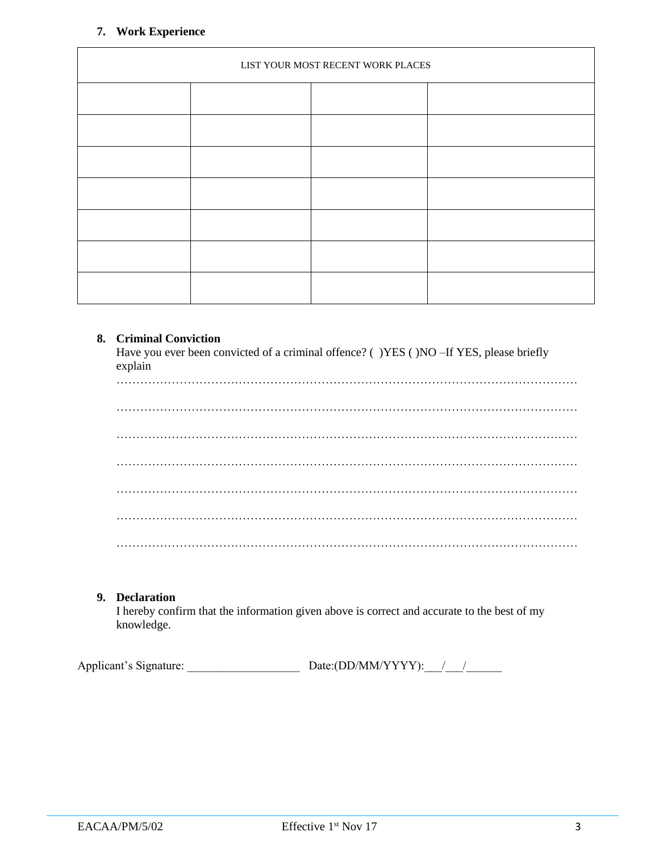### **7. Work Experience**

| LIST YOUR MOST RECENT WORK PLACES |  |  |  |  |  |  |  |  |  |  |  |  |  |
|-----------------------------------|--|--|--|--|--|--|--|--|--|--|--|--|--|
|                                   |  |  |  |  |  |  |  |  |  |  |  |  |  |
|                                   |  |  |  |  |  |  |  |  |  |  |  |  |  |
|                                   |  |  |  |  |  |  |  |  |  |  |  |  |  |
|                                   |  |  |  |  |  |  |  |  |  |  |  |  |  |
|                                   |  |  |  |  |  |  |  |  |  |  |  |  |  |
|                                   |  |  |  |  |  |  |  |  |  |  |  |  |  |
|                                   |  |  |  |  |  |  |  |  |  |  |  |  |  |

#### **8. Criminal Conviction**

Have you ever been convicted of a criminal offence? ( )YES ( )NO -If YES, please briefly explain

# **9. Declaration**

I hereby confirm that the information given above is correct and accurate to the best of my knowledge.

Applicant's Signature: \_\_\_\_\_\_\_\_\_\_\_\_\_\_\_\_\_\_\_ Date:(DD/MM/YYYY):\_\_\_/\_\_\_/\_\_\_\_\_\_